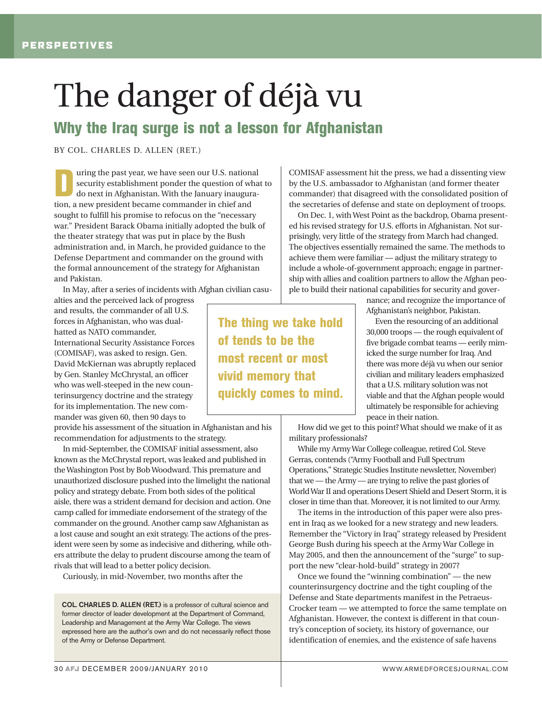## The danger of déjà vu

## **Why the Iraq surge is not a lesson for Afghanistan**

BY COL. CHARLES D. ALLEN (RET.)

The past year, we have seen our U.S. national<br>security establishment ponder the question of wha<br>do next in Afghanistan. With the January inaugura-<br>tion a new president because commander in chief and security establishment ponder the question of what to tion, a new president became commander in chief and sought to fulfill his promise to refocus on the "necessary war." President Barack Obama initially adopted the bulk of the theater strategy that was put in place by the Bush administration and, in March, he provided guidance to the Defense Department and commander on the ground with the formal announcement of the strategy for Afghanistan and Pakistan.

In May, after a series of incidents with Afghan civilian casu-

alties and the perceived lack of progress and results, the commander of all U.S. forces in Afghanistan, who was dualhatted as NATO commander, International Security Assistance Forces (COMISAF), was asked to resign. Gen. David McKiernan was abruptly replaced by Gen. Stanley McChrystal, an officer who was well-steeped in the new counterinsurgency doctrine and the strategy for its implementation. The new commander was given 60, then 90 days to

provide his assessment of the situation in Afghanistan and his recommendation for adjustments to the strategy.

In mid-September, the COMISAF initial assessment, also known as the McChrystal report, was leaked and published in the Washington Post by Bob Woodward. This premature and unauthorized disclosure pushed into the limelight the national policy and strategy debate. From both sides of the political aisle, there was a strident demand for decision and action. One camp called for immediate endorsement of the strategy of the commander on the ground. Another camp saw Afghanistan as a lost cause and sought an exit strategy. The actions of the president were seen by some as indecisive and dithering, while others attribute the delay to prudent discourse among the team of rivals that will lead to a better policy decision.

Curiously, in mid-November, two months after the

**COL. CHARLES D. ALLEN (RET.)** is a professor of cultural science and former director of leader development at the Department of Command, Leadership and Management at the Army War College. The views expressed here are the author's own and do not necessarily reflect those of the Army or Defense Department.

COMISAF assessment hit the press, we had a dissenting view by the U.S. ambassador to Afghanistan (and former theater commander) that disagreed with the consolidated position of the secretaries of defense and state on deployment of troops.

On Dec. 1, with West Point as the backdrop, Obama presented his revised strategy for U.S. efforts in Afghanistan. Not surprisingly, very little of the strategy from March had changed. The objectives essentially remained the same. The methods to achieve them were familiar — adjust the military strategy to include a whole-of-government approach; engage in partnership with allies and coalition partners to allow the Afghan people to build their national capabilities for security and gover-

> nance; and recognize the importance of Afghanistan's neighbor, Pakistan.

> Even the resourcing of an additional 30,000 troops — the rough equivalent of five brigade combat teams — eerily mimicked the surge number for Iraq. And there was more déjà vu when our senior civilian and military leaders emphasized that a U.S. military solution was not viable and that the Afghan people would ultimately be responsible for achieving peace in their nation.

How did we get to this point? What should we make of it as military professionals?

While my Army War College colleague, retired Col. Steve Gerras, contends ("Army Football and Full Spectrum Operations," Strategic Studies Institute newsletter, November) that we — the Army — are trying to relive the past glories of World War II and operations Desert Shield and Desert Storm, it is closer in time than that. Moreover, it is not limited to our Army.

The items in the introduction of this paper were also present in Iraq as we looked for a new strategy and new leaders. Remember the "Victory in Iraq" strategy released by President George Bush during his speech at the Army War College in May 2005, and then the announcement of the "surge" to support the new "clear-hold-build" strategy in 2007?

Once we found the "winning combination" — the new counterinsurgency doctrine and the tight coupling of the Defense and State departments manifest in the Petraeus-Crocker team — we attempted to force the same template on Afghanistan. However, the context is different in that country's conception of society, its history of governance, our identification of enemies, and the existence of safe havens

**of tends to be the most recent or most vivid memory that quickly comes to mind.**

**The thing we take hold**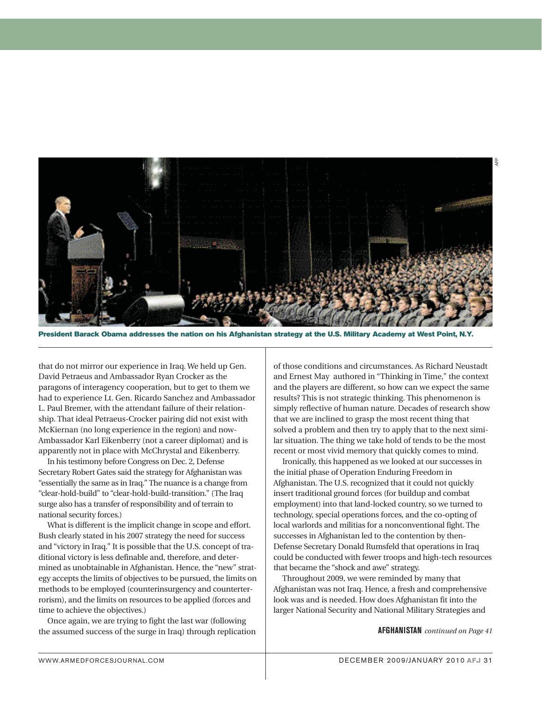

**President Barack Obama addresses the nation on his Afghanistan strategy at the U.S. Military Academy at West Point, N.Y.**

that do not mirror our experience in Iraq. We held up Gen. David Petraeus and Ambassador Ryan Crocker as the paragons of interagency cooperation, but to get to them we had to experience Lt. Gen. Ricardo Sanchez and Ambassador L. Paul Bremer, with the attendant failure of their relationship. That ideal Petraeus-Crocker pairing did not exist with McKiernan (no long experience in the region) and now-Ambassador Karl Eikenberry (not a career diplomat) and is apparently not in place with McChrystal and Eikenberry.

In his testimony before Congress on Dec. 2, Defense Secretary Robert Gates said the strategy for Afghanistan was "essentially the same as in Iraq." The nuance is a change from "clear-hold-build" to "clear-hold-build-transition." (The Iraq surge also has a transfer of responsibility and of terrain to national security forces.)

What is different is the implicit change in scope and effort. Bush clearly stated in his 2007 strategy the need for success and "victory in Iraq." It is possible that the U.S. concept of traditional victory is less definable and, therefore, and determined as unobtainable in Afghanistan. Hence, the "new" strategy accepts the limits of objectives to be pursued, the limits on methods to be employed (counterinsurgency and counterterrorism), and the limits on resources to be applied (forces and time to achieve the objectives.)

Once again, we are trying to fight the last war (following the assumed success of the surge in Iraq) through replication of those conditions and circumstances. As Richard Neustadt and Ernest May authored in "Thinking in Time," the context and the players are different, so how can we expect the same results? This is not strategic thinking. This phenomenon is simply reflective of human nature. Decades of research show that we are inclined to grasp the most recent thing that solved a problem and then try to apply that to the next similar situation. The thing we take hold of tends to be the most recent or most vivid memory that quickly comes to mind.

Ironically, this happened as we looked at our successes in the initial phase of Operation Enduring Freedom in Afghanistan. The U.S. recognized that it could not quickly insert traditional ground forces (for buildup and combat employment) into that land-locked country, so we turned to technology, special operations forces, and the co-opting of local warlords and militias for a nonconventional fight. The successes in Afghanistan led to the contention by then-Defense Secretary Donald Rumsfeld that operations in Iraq could be conducted with fewer troops and high-tech resources that became the "shock and awe" strategy.

Throughout 2009, we were reminded by many that Afghanistan was not Iraq. Hence, a fresh and comprehensive look was and is needed. How does Afghanistan fit into the larger National Security and National Military Strategies and

**AFGHANISTAN** *continued on Page 41*